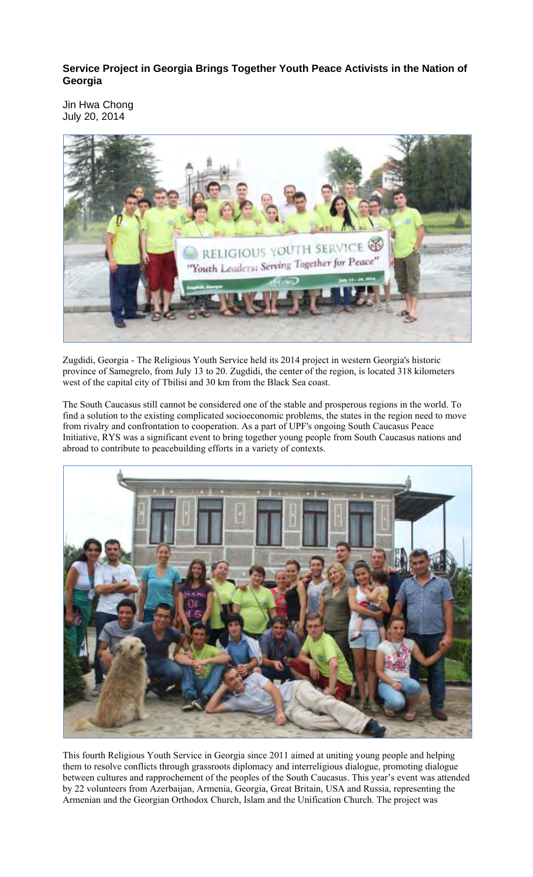**Service Project in Georgia Brings Together Youth Peace Activists in the Nation of Georgia** 

Jin Hwa Chong July 20, 2014



Zugdidi, Georgia - The Religious Youth Service held its 2014 project in western Georgia's historic province of Samegrelo, from July 13 to 20. Zugdidi, the center of the region, is located 318 kilometers west of the capital city of Tbilisi and 30 km from the Black Sea coast.

The South Caucasus still cannot be considered one of the stable and prosperous regions in the world. To find a solution to the existing complicated socioeconomic problems, the states in the region need to move from rivalry and confrontation to cooperation. As a part of UPF's ongoing South Caucasus Peace Initiative, RYS was a significant event to bring together young people from South Caucasus nations and abroad to contribute to peacebuilding efforts in a variety of contexts.



This fourth Religious Youth Service in Georgia since 2011 aimed at uniting young people and helping them to resolve conflicts through grassroots diplomacy and interreligious dialogue, promoting dialogue between cultures and rapprochement of the peoples of the South Caucasus. This year's event was attended by 22 volunteers from Azerbaijan, Armenia, Georgia, Great Britain, USA and Russia, representing the Armenian and the Georgian Orthodox Church, Islam and the Unification Church. The project was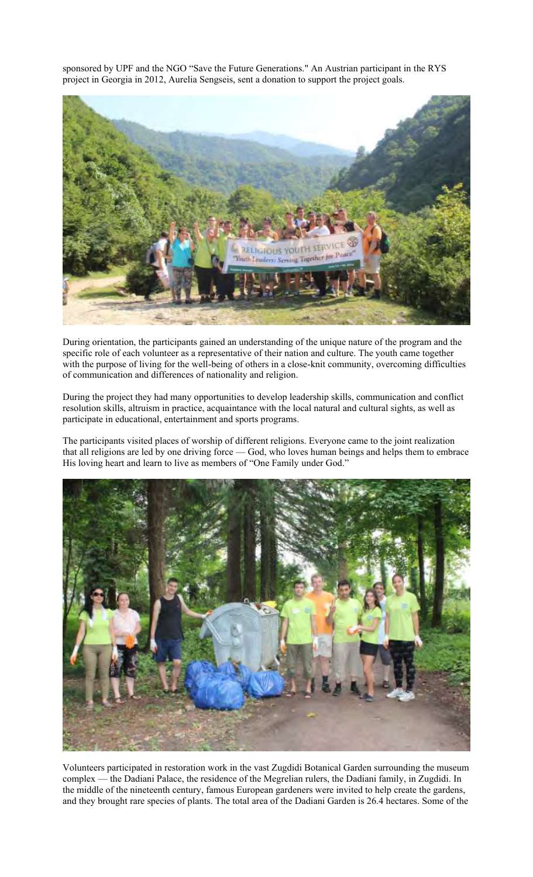sponsored by UPF and the NGO "Save the Future Generations." An Austrian participant in the RYS project in Georgia in 2012, Aurelia Sengseis, sent a donation to support the project goals.



During orientation, the participants gained an understanding of the unique nature of the program and the specific role of each volunteer as a representative of their nation and culture. The youth came together with the purpose of living for the well-being of others in a close-knit community, overcoming difficulties of communication and differences of nationality and religion.

During the project they had many opportunities to develop leadership skills, communication and conflict resolution skills, altruism in practice, acquaintance with the local natural and cultural sights, as well as participate in educational, entertainment and sports programs.

The participants visited places of worship of different religions. Everyone came to the joint realization that all religions are led by one driving force — God, who loves human beings and helps them to embrace His loving heart and learn to live as members of "One Family under God."



Volunteers participated in restoration work in the vast Zugdidi Botanical Garden surrounding the museum complex — the Dadiani Palace, the residence of the Megrelian rulers, the Dadiani family, in Zugdidi. In the middle of the nineteenth century, famous European gardeners were invited to help create the gardens, and they brought rare species of plants. The total area of the Dadiani Garden is 26.4 hectares. Some of the